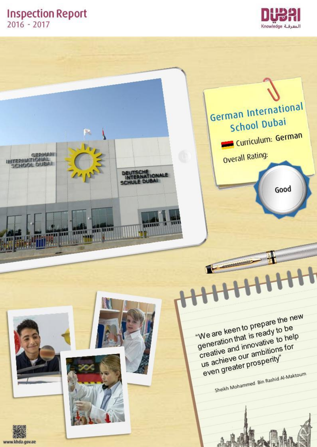# **Inspection Report**  $2016 - 2017$





www.khda.gov.ae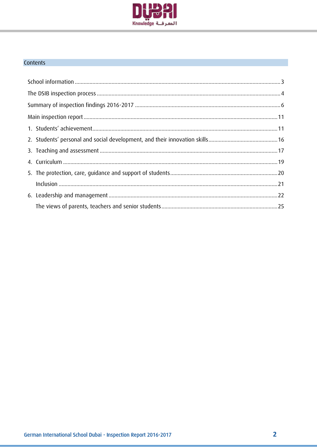

## Contents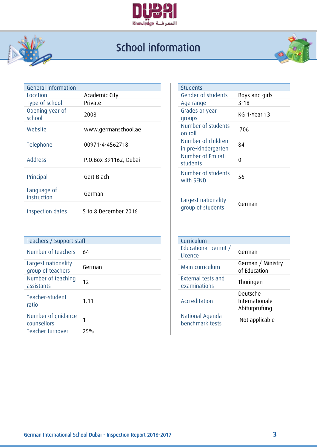

#### $\overline{\mathcal{L}}$ School information



| General information        |                       | <b>Students</b>                           |                |
|----------------------------|-----------------------|-------------------------------------------|----------------|
| Location                   | Academic City         | Gender of students                        | Boys and girls |
| Type of school             | Private               | Age range                                 | $3 - 18$       |
| Opening year of<br>school  | 2008                  | Grades or year<br>groups                  | KG 1-Year 13   |
| Website                    | www.germanschool.ae   | Number of students<br>on roll             | 706            |
| Telephone                  | 00971-4-4562718       | Number of children<br>in pre-kindergarten | 84             |
| <b>Address</b>             | P.O.Box 391162, Dubai | Number of Emirati<br>students             | $\mathbf 0$    |
| Principal                  | Gert Blach            | Number of students<br>with SEND           | 56             |
| Language of<br>instruction | German                | Largest nationality                       |                |
| Inspection dates           | 5 to 8 December 2016  | group of students                         | German         |

| Teachers / Support staff                 |        | Curriculum                |
|------------------------------------------|--------|---------------------------|
| Number of teachers                       | 64     | Educationa<br>Licence     |
| Largest nationality<br>group of teachers | German | Main currid               |
| Number of teaching<br>assistants         | 12     | External te<br>examinatio |
| Teacher-student<br>ratio                 | 1:11   | Accreditati               |
| Number of guidance<br>counsellors        |        | National A<br>benchmarl   |
| Teacher turnover                         | 25%    |                           |

| <b>Students</b>     |                |
|---------------------|----------------|
| Gender of students  | Boys and girls |
| Age range           | $3 - 18$       |
| Grades or year      | KG 1-Year 13   |
| groups              |                |
| Number of students  | 706            |
| on roll             |                |
| Number of children  | 84             |
| in pre-kindergarten |                |
| Number of Emirati   |                |
| students            |                |
| Number of students  |                |
| with SEND           | 56             |

| Curriculum<br>Educational permit /<br>Licence | German                                      |
|-----------------------------------------------|---------------------------------------------|
| Main curriculum                               | German / Ministry<br>of Education           |
| <b>External tests and</b><br>examinations     | Thüringen                                   |
| Accreditation                                 | Deutsche<br>Internationale<br>Abiturprüfung |
| National Agenda<br>benchmark tests            | Not applicable                              |
|                                               |                                             |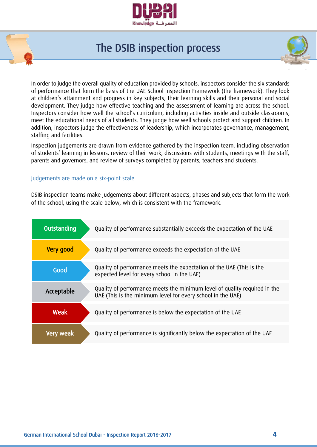

# The DSIB inspection process

In order to judge the overall quality of education provided by schools, inspectors consider the six standards of performance that form the basis of the UAE School Inspection Framework (the framework). They look at children's attainment and progress in key subjects, their learning skills and their personal and social development. They judge how effective teaching and the assessment of learning are across the school. Inspectors consider how well the school's curriculum, including activities inside and outside classrooms, meet the educational needs of all students. They judge how well schools protect and support children. In addition, inspectors judge the effectiveness of leadership, which incorporates governance, management, staffing and facilities.

Inspection judgements are drawn from evidence gathered by the inspection team, including observation of students' learning in lessons, review of their work, discussions with students, meetings with the staff, parents and governors, and review of surveys completed by parents, teachers and students.

#### Judgements are made on a six-point scale

DSIB inspection teams make judgements about different aspects, phases and subjects that form the work of the school, using the scale below, which is consistent with the framework.

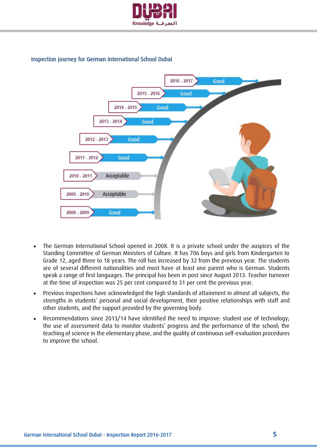

#### Inspection journey for German International School Dubai



- The German International School opened in 2008. It is a private school under the auspices of the Standing Committee of German Ministers of Culture. It has 706 boys and girls from Kindergarten to Grade 12, aged three to 18 years. The roll has increased by 32 from the previous year. The students are of several different nationalities and most have at least one parent who is German. Students speak a range of first languages. The principal has been in post since August 2013. Teacher turnover at the time of inspection was 25 per cent compared to 31 per cent the previous year.
- Previous inspections have acknowledged the high standards of attainment in almost all subjects, the strengths in students' personal and social development, their positive relationships with staff and other students, and the support provided by the governing body.
- Recommendations since 2013/14 have identified the need to improve: student use of technology; the use of assessment data to monitor students' progress and the performance of the school; the teaching of science in the elementary phase, and the quality of continuous self-evaluation procedures to improve the school.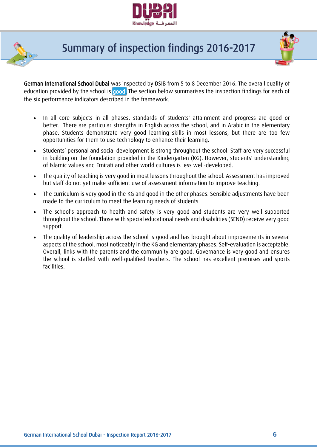



# Summary of inspection findings 2016-2017



German International School Dubai was inspected by DSIB from 5 to 8 December 2016. The overall quality of education provided by the school is good. The section below summarises the inspection findings for each of the six performance indicators described in the framework.

- In all core subjects in all phases, standards of students' attainment and progress are good or better. There are particular strengths in English across the school, and in Arabic in the elementary phase. Students demonstrate very good learning skills in most lessons, but there are too few opportunities for them to use technology to enhance their learning.
- Students' personal and social development is strong throughout the school. Staff are very successful in building on the foundation provided in the Kindergarten (KG). However, students' understanding of Islamic values and Emirati and other world cultures is less well-developed.
- The quality of teaching is very good in most lessons throughout the school. Assessment has improved but staff do not yet make sufficient use of assessment information to improve teaching.
- The curriculum is very good in the KG and good in the other phases. Sensible adjustments have been made to the curriculum to meet the learning needs of students.
- The school's approach to health and safety is very good and students are very well supported throughout the school. Those with special educational needs and disabilities (SEND) receive very good support.
- The quality of leadership across the school is good and has brought about improvements in several aspects of the school, most noticeably in the KG and elementary phases. Self-evaluation is acceptable. Overall, links with the parents and the community are good. Governance is very good and ensures the school is staffed with well-qualified teachers. The school has excellent premises and sports facilities.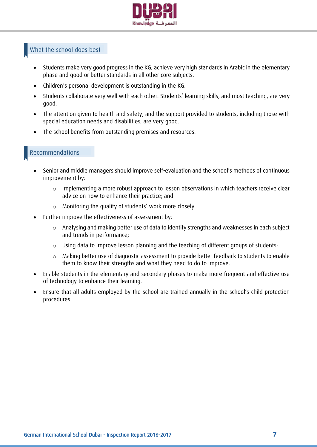

### What the school does best

- Students make very good progress in the KG, achieve very high standards in Arabic in the elementary phase and good or better standards in all other core subjects.
- Children's personal development is outstanding in the KG.
- Students collaborate very well with each other. Students' learning skills, and most teaching, are very good.
- The attention given to health and safety, and the support provided to students, including those with special education needs and disabilities, are very good.
- The school benefits from outstanding premises and resources.

### Recommendations

- Senior and middle managers should improve self-evaluation and the school's methods of continuous improvement by:
	- o Implementing a more robust approach to lesson observations in which teachers receive clear advice on how to enhance their practice; and
	- o Monitoring the quality of students' work more closely.
- Further improve the effectiveness of assessment by:
	- o Analysing and making better use of data to identify strengths and weaknesses in each subject and trends in performance;
	- o Using data to improve lesson planning and the teaching of different groups of students;
	- $\circ$  Making better use of diagnostic assessment to provide better feedback to students to enable them to know their strengths and what they need to do to improve.
- Enable students in the elementary and secondary phases to make more frequent and effective use of technology to enhance their learning.
- Ensure that all adults employed by the school are trained annually in the school's child protection procedures.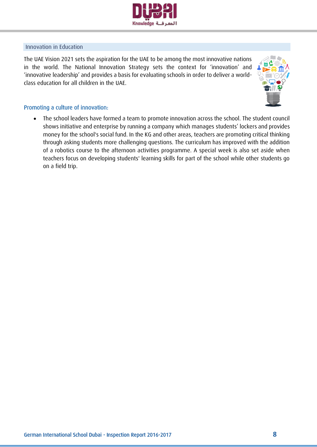

#### Innovation in Education

The UAE Vision 2021 sets the aspiration for the UAE to be among the most innovative nations in the world. The National Innovation Strategy sets the context for 'innovation' and 'innovative leadership' and provides a basis for evaluating schools in order to deliver a worldclass education for all children in the UAE.



#### Promoting a culture of innovation:

 The school leaders have formed a team to promote innovation across the school. The student council shows initiative and enterprise by running a company which manages students' lockers and provides money for the school's social fund. In the KG and other areas, teachers are promoting critical thinking through asking students more challenging questions. The curriculum has improved with the addition of a robotics course to the afternoon activities programme. A special week is also set aside when teachers focus on developing students' learning skills for part of the school while other students go on a field trip.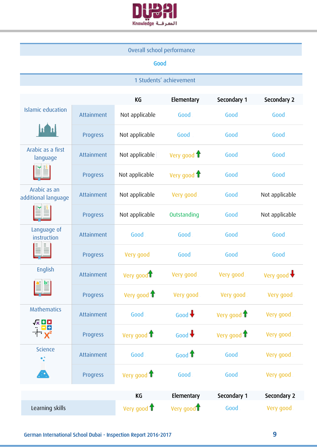

### Overall school performance

## Good

## 1 Students' achievement

|                                                                                     |                 | KG                     | Elementary             | Secondary 1 | Secondary 2          |
|-------------------------------------------------------------------------------------|-----------------|------------------------|------------------------|-------------|----------------------|
| <b>Islamic education</b>                                                            | Attainment      | Not applicable         | Good                   | Good        | Good                 |
|                                                                                     | Progress        | Not applicable         | Good                   | Good        | Good                 |
| Arabic as a first<br>language                                                       | Attainment      | Not applicable         | Very good 1            | Good        | Good                 |
|                                                                                     | Progress        | Not applicable         | Very good 1            | Good        | Good                 |
| Arabic as an<br>additional language                                                 | Attainment      | Not applicable         | Very good              | Good        | Not applicable       |
|                                                                                     | Progress        | Not applicable         | Outstanding            | Good        | Not applicable       |
| Language of<br>instruction                                                          | Attainment      | Good                   | Good                   | Good        | Good                 |
|                                                                                     | Progress        | Very good              | Good                   | Good        | Good                 |
| English                                                                             | Attainment      | Very good <sup>1</sup> | Very good              | Very good   | Very good $\bigstar$ |
|                                                                                     | Progress        | Very good 1            | Very good              | Very good   | Very good            |
| <b>Mathematics</b>                                                                  | Attainment      | Good                   | Good $\bigstar$        | Very good 1 | Very good            |
| <b>反日因</b><br>" <mark>모</mark> 단<br>$\overline{\mathbf{a}}$ $\mathbf{X}_\mathbf{s}$ | <b>Progress</b> | Very good 1            | Good $\bigstar$        | Very good 1 | Very good            |
| <b>Science</b><br>$\bullet_\bullet^\bullet$                                         | Attainment      | Good                   | Good $\bigoplus$       | Good        | Very good            |
| Æ                                                                                   | Progress        | Very good 1            | Good                   | Good        | Very good            |
|                                                                                     |                 | KG                     | Elementary             | Secondary 1 | Secondary 2          |
| Learning skills                                                                     |                 | Very good 1            | Very good <sup>1</sup> | Good        | Very good            |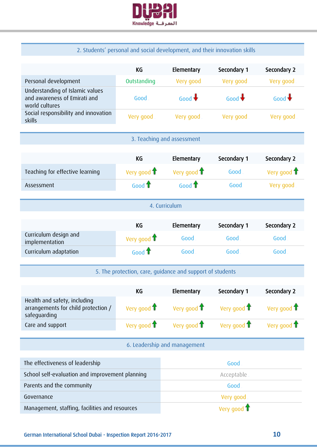

## 2. Students' personal and social development, and their innovation skills

|                                                                                     | KG                      | Elementary                                                | Secondary 1     | Secondary 2     |  |  |
|-------------------------------------------------------------------------------------|-------------------------|-----------------------------------------------------------|-----------------|-----------------|--|--|
| Personal development                                                                | Outstanding             | Very good                                                 | Very good       | Very good       |  |  |
| Understanding of Islamic values<br>and awareness of Emirati and<br>world cultures   | Good                    | Good $\bigstar$                                           | Good $\bigstar$ | Good $\bigstar$ |  |  |
| Social responsibility and innovation<br>skills                                      | Very good               | Very good                                                 | Very good       | Very good       |  |  |
|                                                                                     |                         | 3. Teaching and assessment                                |                 |                 |  |  |
|                                                                                     |                         |                                                           |                 |                 |  |  |
|                                                                                     | <b>KG</b>               | Elementary                                                | Secondary 1     | Secondary 2     |  |  |
| Teaching for effective learning                                                     | Very good 1             | Very good 1                                               | Good            | Very good 1     |  |  |
| Assessment                                                                          | Good $\bigoplus$        | Good $\bigoplus$                                          | Good            | Very good       |  |  |
|                                                                                     |                         | 4. Curriculum                                             |                 |                 |  |  |
|                                                                                     | <b>KG</b>               | Elementary                                                | Secondary 1     | Secondary 2     |  |  |
| Curriculum design and<br>implementation                                             | Very good 1             | Good                                                      | Good            | Good            |  |  |
| Curriculum adaptation                                                               | Good $\bigoplus$        | Good                                                      | Good            | Good            |  |  |
|                                                                                     |                         | 5. The protection, care, guidance and support of students |                 |                 |  |  |
|                                                                                     | KG                      | Elementary                                                | Secondary 1     | Secondary 2     |  |  |
| Health and safety, including<br>arrangements for child protection /<br>safeguarding | Very good $\biguparrow$ | Very good $\biguparrow$                                   | Very good 1     | Very good 1     |  |  |
| Care and support                                                                    | Very good 1             | Very good $\biguparrow$                                   | Very good 1     | Very good 1     |  |  |
| 6. Leadership and management                                                        |                         |                                                           |                 |                 |  |  |
| The effectiveness of leadership                                                     |                         |                                                           | Good            |                 |  |  |
| School self-evaluation and improvement planning                                     |                         | Acceptable                                                |                 |                 |  |  |
| Parents and the community                                                           |                         |                                                           | Good            |                 |  |  |
| Governance                                                                          |                         |                                                           | Very good       |                 |  |  |
| Management, staffing, facilities and resources                                      |                         |                                                           | Very good T     |                 |  |  |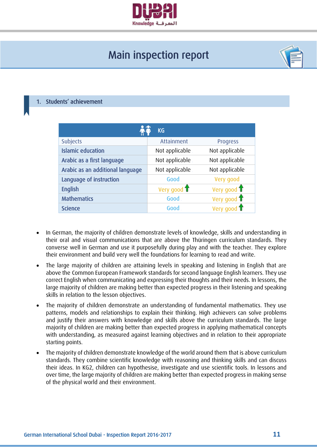

# Main inspection report



#### <span id="page-10-0"></span>Students' achievement

| <b>KG</b>                        |                |                              |  |  |
|----------------------------------|----------------|------------------------------|--|--|
| <b>Subjects</b>                  | Attainment     | Progress                     |  |  |
| <b>Islamic education</b>         | Not applicable | Not applicable               |  |  |
| Arabic as a first language       | Not applicable | Not applicable               |  |  |
| Arabic as an additional language | Not applicable | Not applicable               |  |  |
| Language of instruction          | Good           | Very good                    |  |  |
| <b>English</b>                   | Very good 1    | Very good $\mathbf{\hat{T}}$ |  |  |
| <b>Mathematics</b>               | Good           | Very good $\biguparrow$      |  |  |
| <b>Science</b>                   | Good           | Very good 1                  |  |  |

- In German, the majority of children demonstrate levels of knowledge, skills and understanding in their oral and visual communications that are above the Thüringen curriculum standards. They converse well in German and use it purposefully during play and with the teacher. They explore their environment and build very well the foundations for learning to read and write.
- The large majority of children are attaining levels in speaking and listening in English that are above the Common European Framework standards for second language English learners. They use correct English when communicating and expressing their thoughts and their needs. In lessons, the large majority of children are making better than expected progress in their listening and speaking skills in relation to the lesson objectives.
- The majority of children demonstrate an understanding of fundamental mathematics. They use patterns, models and relationships to explain their thinking. High achievers can solve problems and justify their answers with knowledge and skills above the curriculum standards. The large majority of children are making better than expected progress in applying mathematical concepts with understanding, as measured against learning objectives and in relation to their appropriate starting points.
- The majority of children demonstrate knowledge of the world around them that is above curriculum standards. They combine scientific knowledge with reasoning and thinking skills and can discuss their ideas. In KG2, children can hypothesise, investigate and use scientific tools. In lessons and over time, the large majority of children are making better than expected progress in making sense of the physical world and their environment.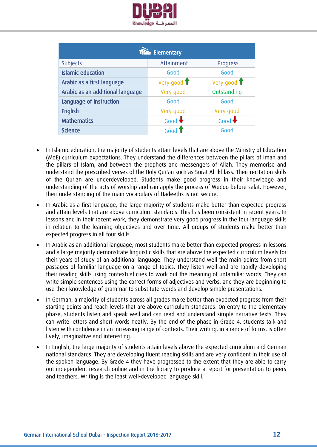

| F Elementary                     |                 |                         |  |  |
|----------------------------------|-----------------|-------------------------|--|--|
| <b>Subjects</b>                  | Attainment      | Progress                |  |  |
| <b>Islamic education</b>         | Good            | Good                    |  |  |
| Arabic as a first language       | Very good 1     | Very good $\biguparrow$ |  |  |
| Arabic as an additional language | Very good       | Outstanding             |  |  |
| Language of instruction          | Good            | Good                    |  |  |
| <b>English</b>                   | Very good       | Very good               |  |  |
| <b>Mathematics</b>               | Good $\bigstar$ | Good $\bigstar$         |  |  |
| <b>Science</b>                   | Good            | Good                    |  |  |

- In Islamic education, the majority of students attain levels that are above the Ministry of Education (MoE) curriculum expectations. They understand the differences between the pillars of Iman and the pillars of Islam, and between the prophets and messengers of Allah. They memorise and understand the prescribed verses of the Holy Qur'an such as Surat Al-Ikhlass. Their recitation skills of the Qur'an are underdeveloped. Students make good progress in their knowledge and understanding of the acts of worship and can apply the process of Wudoo before salat. However, their understanding of the main vocabulary of Hadeeths is not secure.
- In Arabic as a first language, the large majority of students make better than expected progress and attain levels that are above curriculum standards. This has been consistent in recent years. In lessons and in their recent work, they demonstrate very good progress in the four language skills in relation to the learning objectives and over time. All groups of students make better than expected progress in all four skills.
- In Arabic as an additional language, most students make better than expected progress in lessons and a large majority demonstrate linguistic skills that are above the expected curriculum levels for their years of study of an additional language. They understand well the main points from short passages of familiar language on a range of topics. They listen well and are rapidly developing their reading skills using contextual cues to work out the meaning of unfamiliar words. They can write simple sentences using the correct forms of adjectives and verbs, and they are beginning to use their knowledge of grammar to substitute words and develop simple presentations.
- In German, a majority of students across all grades make better than expected progress from their starting points and reach levels that are above curriculum standards. On entry to the elementary phase, students listen and speak well and can read and understand simple narrative texts. They can write letters and short words neatly. By the end of the phase in Grade 4, students talk and listen with confidence in an increasing range of contexts. Their writing, in a range of forms, is often lively, imaginative and interesting.
- In English, the large majority of students attain levels above the expected curriculum and German national standards. They are developing fluent reading skills and are very confident in their use of the spoken language. By Grade 4 they have progressed to the extent that they are able to carry out independent research online and in the library to produce a report for presentation to peers and teachers. Writing is the least well-developed language skill.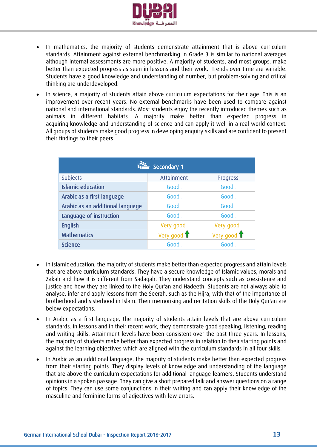

- In mathematics, the majority of students demonstrate attainment that is above curriculum standards. Attainment against external benchmarking in Grade 3 is similar to national averages although internal assessments are more positive. A majority of students, and most groups, make better than expected progress as seen in lessons and their work. Trends over time are variable. Students have a good knowledge and understanding of number, but problem-solving and critical thinking are underdeveloped.
- In science, a majority of students attain above curriculum expectations for their age. This is an improvement over recent years. No external benchmarks have been used to compare against national and international standards. Most students enjoy the recently introduced themes such as animals in different habitats. A majority make better than expected progress in acquiring knowledge and understanding of science and can apply it well in a real world context. All groups of students make good progress in developing enquiry skills and are confident to present their findings to their peers.

| Secondary 1                      |             |             |  |  |  |
|----------------------------------|-------------|-------------|--|--|--|
| <b>Subjects</b>                  | Attainment  | Progress    |  |  |  |
| <b>Islamic education</b>         | Good        | Good        |  |  |  |
| Arabic as a first language       | Good        | Good        |  |  |  |
| Arabic as an additional language | Good        | Good        |  |  |  |
| Language of instruction          | Good        | Good        |  |  |  |
| <b>English</b>                   | Very good   | Very good   |  |  |  |
| <b>Mathematics</b>               | Very good 1 | Very good 1 |  |  |  |
| <b>Science</b>                   | Good        | Good        |  |  |  |

- In Islamic education, the majority of students make better than expected progress and attain levels that are above curriculum standards. They have a secure knowledge of Islamic values, morals and Zakah and how it is different from Sadaqah. They understand concepts such as coexistence and justice and how they are linked to the Holy Qur'an and Hadeeth. Students are not always able to analyse, infer and apply lessons from the Seerah, such as the Hijra, with that of the importance of brotherhood and sisterhood in Islam. Their memorising and recitation skills of the Holy Qur'an are below expectations.
- In Arabic as a first language, the majority of students attain levels that are above curriculum standards. In lessons and in their recent work, they demonstrate good speaking, listening, reading and writing skills. Attainment levels have been consistent over the past three years. In lessons, the majority of students make better than expected progress in relation to their starting points and against the learning objectives which are aligned with the curriculum standards in all four skills.
- In Arabic as an additional language, the majority of students make better than expected progress from their starting points. They display levels of knowledge and understanding of the language that are above the curriculum expectations for additional language learners. Students understand opinions in a spoken passage. They can give a short prepared talk and answer questions on a range of topics. They can use some conjunctions in their writing and can apply their knowledge of the masculine and feminine forms of adjectives with few errors.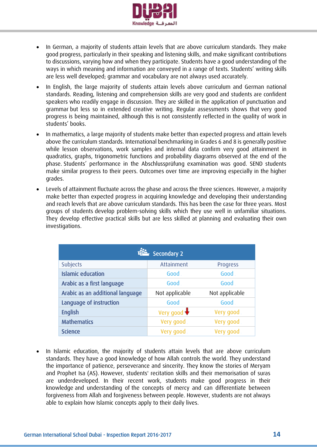

- In German, a majority of students attain levels that are above curriculum standards. They make good progress, particularly in their speaking and listening skills, and make significant contributions to discussions, varying how and when they participate. Students have a good understanding of the ways in which meaning and information are conveyed in a range of texts. Students' writing skills are less well developed; grammar and vocabulary are not always used accurately.
- In English, the large majority of students attain levels above curriculum and German national standards. Reading, listening and comprehension skills are very good and students are confident speakers who readily engage in discussion. They are skilled in the application of punctuation and grammar but less so in extended creative writing. Regular assessments shows that very good progress is being maintained, although this is not consistently reflected in the quality of work in students' books.
- In mathematics, a large majority of students make better than expected progress and attain levels above the curriculum standards. International benchmarking in Grades 6 and 8 is generally positive while lesson observations, work samples and internal data confirm very good attainment in quadratics, graphs, trigonometric functions and probability diagrams observed at the end of the phase. Students' performance in the Abschlussprüfung examination was good. SEND students make similar progress to their peers. Outcomes over time are improving especially in the higher grades.
- Levels of attainment fluctuate across the phase and across the three sciences. However, a majority make better than expected progress in acquiring knowledge and developing their understanding and reach levels that are above curriculum standards. This has been the case for three years. Most groups of students develop problem-solving skills which they use well in unfamiliar situations. They develop effective practical skills but are less skilled at planning and evaluating their own investigations.

| <b>Secondary 2</b>               |                      |                |  |  |
|----------------------------------|----------------------|----------------|--|--|
| Subjects                         | Attainment           | Progress       |  |  |
| <b>Islamic education</b>         | Good                 | Good           |  |  |
| Arabic as a first language       | Good                 | Good           |  |  |
| Arabic as an additional language | Not applicable       | Not applicable |  |  |
| Language of instruction          | Good                 | Good           |  |  |
| <b>English</b>                   | Very good $\bigstar$ | Very good      |  |  |
| <b>Mathematics</b>               | Very good            | Very good      |  |  |
| <b>Science</b>                   | Very good            | Very good      |  |  |

 In Islamic education, the majority of students attain levels that are above curriculum standards. They have a good knowledge of how Allah controls the world. They understand the importance of patience, perseverance and sincerity. They know the stories of Meryam and Prophet Isa (AS). However, students' recitation skills and their memorisation of suras are underdeveloped. In their recent work, students make good progress in their knowledge and understanding of the concepts of mercy and can differentiate between forgiveness from Allah and forgiveness between people. However, students are not always able to explain how Islamic concepts apply to their daily lives.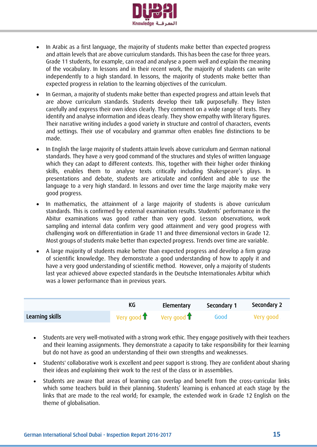

- In Arabic as a first language, the majority of students make better than expected progress and attain levels that are above curriculum standards. This has been the case for three years. Grade 11 students, for example, can read and analyse a poem well and explain the meaning of the vocabulary. In lessons and in their recent work, the majority of students can write independently to a high standard. In lessons, the majority of students make better than expected progress in relation to the learning objectives of the curriculum.
- In German, a majority of students make better than expected progress and attain levels that are above curriculum standards. Students develop their talk purposefully. They listen carefully and express their own ideas clearly. They comment on a wide range of texts. They identify and analyse information and ideas clearly. They show empathy with literary figures. Their narrative writing includes a good variety in structure and control of characters, events and settings. Their use of vocabulary and grammar often enables fine distinctions to be made.
- In English the large majority of students attain levels above curriculum and German national standards. They have a very good command of the structures and styles of written language which they can adapt to different contexts. This, together with their higher order thinking skills, enables them to analyse texts critically including Shakespeare's plays. In presentations and debate, students are articulate and confident and able to use the language to a very high standard. In lessons and over time the large majority make very good progress.
- In mathematics, the attainment of a large majority of students is above curriculum standards. This is confirmed by external examination results. Students' performance in the Abitur examinations was good rather than very good. Lesson observations, work sampling and internal data confirm very good attainment and very good progress with challenging work on differentiation in Grade 11 and three dimensional vectors in Grade 12. Most groups of students make better than expected progress. Trends over time are variable.
- A large majority of students make better than expected progress and develop a firm grasp of scientific knowledge. They demonstrate a good understanding of how to apply it and have a very good understanding of scientific method. However, only a majority of students last year achieved above expected standards in the Deutsche Internationales Arbitur which was a lower performance than in previous years.

|                 |                                           | Elementary | Secondary 1 | Secondary 2 |
|-----------------|-------------------------------------------|------------|-------------|-------------|
| Learning skills | Very good $\uparrow$ Very good $\uparrow$ |            | Good        | - Very good |

- Students are very well-motivated with a strong work ethic. They engage positively with their teachers and their learning assignments. They demonstrate a capacity to take responsibility for their learning but do not have as good an understanding of their own strengths and weaknesses.
- Students' collaborative work is excellent and peer support is strong. They are confident about sharing their ideas and explaining their work to the rest of the class or in assemblies.
- Students are aware that areas of learning can overlap and benefit from the cross-curricular links which some teachers build in their planning. Students' learning is enhanced at each stage by the links that are made to the real world; for example, the extended work in Grade 12 English on the theme of globalisation.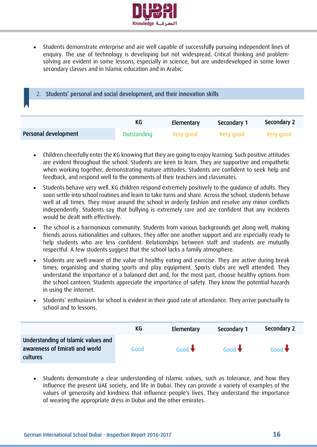

 Students demonstrate enterprise and are well capable of successfully pursuing independent lines of enquiry. The use of technology is developing but not widespread. Critical thinking and problemsolving are evident in some lessons, especially in science, but are underdeveloped in some lower secondary classes and in Islamic education and in Arabic.

<span id="page-15-0"></span>

| 2. Students' personal and social development, and their innovation skills |                                                |             |             |             |
|---------------------------------------------------------------------------|------------------------------------------------|-------------|-------------|-------------|
|                                                                           |                                                |             |             |             |
|                                                                           | Secondary 2<br>KG<br>Secondary 1<br>Elementary |             |             |             |
|                                                                           |                                                |             |             |             |
| Personal development                                                      | Outstanding                                    | Very good . | Very good . | . Very good |

- Children cheerfully enter the KG knowing that they are going to enjoy learning. Such positive attitudes are evident throughout the school. Students are keen to learn. They are supportive and empathetic when working together, demonstrating mature attitudes. Students are confident to seek help and feedback, and respond well to the comments of their teachers and classmates.
- Students behave very well. KG children respond extremely positively to the guidance of adults. They soon settle into school routines and learn to take turns and share. Across the school, students behave well at all times. They move around the school in orderly fashion and resolve any minor conflicts independently. Students say that bullying is extremely rare and are confident that any incidents would be dealt with effectively.
- The school is a harmonious community. Students from various backgrounds get along well, making friends across nationalities and cultures. They offer one another support and are especially ready to help students who are less confident. Relationships between staff and students are mutually respectful. A few students suggest that the school lacks a family atmosphere.
- Students are well-aware of the value of healthy eating and exercise. They are active during break times, organising and sharing sports and play equipment. Sports clubs are well attended. They understand the importance of a balanced diet and, for the most part, choose healthy options from the school canteen. Students appreciate the importance of safety. They know the potential hazards in using the internet.
- Students' enthusiasm for school is evident in their good rate of attendance. They arrive punctually to school and to lessons.

|                                                                                   | КG   | Elementary      | Secondary 1     | Secondary 2     |
|-----------------------------------------------------------------------------------|------|-----------------|-----------------|-----------------|
| Understanding of Islamic values and<br>awareness of Emirati and world<br>cultures | Good | Good $\bigstar$ | Good $\bigstar$ | Good $\bigstar$ |

• Students demonstrate a clear understanding of Islamic values, such as tolerance, and how they influence the present UAE society, and life in Dubai. They can provide a variety of examples of the values of generosity and kindness that influence people's lives. They understand the importance of wearing the appropriate dress in Dubai and the other emirates.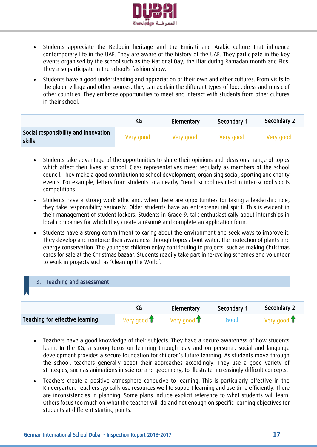

- Students appreciate the Bedouin heritage and the Emirati and Arabic culture that influence contemporary life in the UAE. They are aware of the history of the UAE. They participate in the key events organised by the school such as the National Day, the Iftar during Ramadan month and Eids. They also participate in the school's fashion show.
- Students have a good understanding and appreciation of their own and other cultures. From visits to the global village and other sources, they can explain the different types of food, dress and music of other countries. They embrace opportunities to meet and interact with students from other cultures in their school.

|                                                | KG        | Elementary | Secondary 1 | Secondary 2 |
|------------------------------------------------|-----------|------------|-------------|-------------|
| Social responsibility and innovation<br>skills | Very good | Very good  | Very good   | Very good   |

- Students take advantage of the opportunities to share their opinions and ideas on a range of topics which affect their lives at school. Class representatives meet regularly as members of the school council. They make a good contribution to school development, organising social, sporting and charity events. For example, letters from students to a nearby French school resulted in inter-school sports competitions.
- Students have a strong work ethic and, when there are opportunities for taking a leadership role, they take responsibility seriously. Older students have an entrepreneurial spirit. This is evident in their management of student lockers. Students in Grade 9, talk enthusiastically about internships in local companies for which they create a résumé and complete an application form.
- Students have a strong commitment to caring about the environment and seek ways to improve it. They develop and reinforce their awareness through topics about water, the protection of plants and energy conservation. The youngest children enjoy contributing to projects, such as making Christmas cards for sale at the Christmas bazaar. Students readily take part in re-cycling schemes and volunteer to work in projects such as 'Clean up the World'.

<span id="page-16-0"></span>

- Teachers have a good knowledge of their subjects. They have a secure awareness of how students learn. In the KG, a strong focus on learning through play and on personal, social and language development provides a secure foundation for children's future learning. As students move through the school, teachers generally adapt their approaches accordingly. They use a good variety of strategies, such as animations in science and geography, to illustrate increasingly difficult concepts.
- Teachers create a positive atmosphere conducive to learning. This is particularly effective in the Kindergarten. Teachers typically use resources well to support learning and use time efficiently. There are inconsistencies in planning. Some plans include explicit reference to what students will learn. Others focus too much on what the teacher will do and not enough on specific learning objectives for students at different starting points.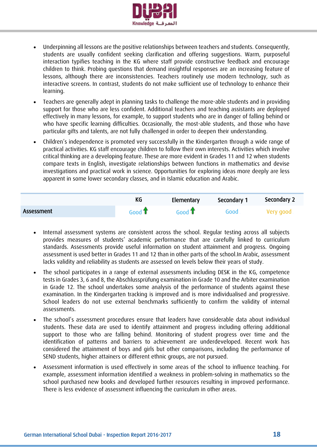

- Underpinning all lessons are the positive relationships between teachers and students. Consequently, students are usually confident seeking clarification and offering suggestions. Warm, purposeful interaction typifies teaching in the KG where staff provide constructive feedback and encourage children to think. Probing questions that demand insightful responses are an increasing feature of lessons, although there are inconsistencies. Teachers routinely use modern technology, such as interactive screens. In contrast, students do not make sufficient use of technology to enhance their learning.
- Teachers are generally adept in planning tasks to challenge the more-able students and in providing support for those who are less confident. Additional teachers and teaching assistants are deployed effectively in many lessons, for example, to support students who are in danger of falling behind or who have specific learning difficulties. Occasionally, the most-able students, and those who have particular gifts and talents, are not fully challenged in order to deepen their understanding.
- Children's independence is promoted very successfully in the Kindergarten through a wide range of practical activities. KG staff encourage children to follow their own interests. Activities which involve critical thinking are a developing feature. These are more evident in Grades 11 and 12 when students compare texts in English, investigate relationships between functions in mathematics and devise investigations and practical work in science. Opportunities for exploring ideas more deeply are less apparent in some lower secondary classes, and in Islamic education and Arabic.

|            | КG                          | Elementary | Secondary 1 | Secondary 2 |
|------------|-----------------------------|------------|-------------|-------------|
| Assessment | Good $\textcolor{blue}{\P}$ | Good 1     | Good        | Very good   |

- Internal assessment systems are consistent across the school. Regular testing across all subjects provides measures of students' academic performance that are carefully linked to curriculum standards. Assessments provide useful information on student attainment and progress. Ongoing assessment is used better in Grades 11 and 12 than in other parts of the school.In Arabic, assessment lacks validity and reliability as students are assessed on levels below their years of study.
- The school participates in a range of external assessments including DESK in the KG, competence tests in Grades 3, 6 and 8, the Abschlussprüfung examination in Grade 10 and the Arbiter examination in Grade 12. The school undertakes some analysis of the performance of students against these examination. In the Kindergarten tracking is improved and is more individualised and progressive. School leaders do not use external benchmarks sufficiently to confirm the validity of internal assessments.
- The school's assessment procedures ensure that leaders have considerable data about individual students. These data are used to identify attainment and progress including offering additional support to those who are falling behind. Monitoring of student progress over time and the identification of patterns and barriers to achievement are underdeveloped. Recent work has considered the attainment of boys and girls but other comparisons, including the performance of SEND students, higher attainers or different ethnic groups, are not pursued.
- Assessment information is used effectively in some areas of the school to influence teaching. For example, assessment information identified a weakness in problem-solving in mathematics so the school purchased new books and developed further resources resulting in improved performance. There is less evidence of assessment influencing the curriculum in other areas.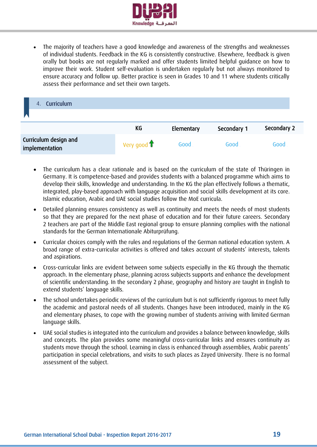

 The majority of teachers have a good knowledge and awareness of the strengths and weaknesses of individual students. Feedback in the KG is consistently constructive. Elsewhere, feedback is given orally but books are not regularly marked and offer students limited helpful guidance on how to improve their work. Student self-evaluation is undertaken regularly but not always monitored to ensure accuracy and follow up. Better practice is seen in Grades 10 and 11 where students critically assess their performance and set their own targets.

<span id="page-18-0"></span>

| <b>Curriculum</b><br>$\overline{4}$ .   |             |            |             |             |
|-----------------------------------------|-------------|------------|-------------|-------------|
|                                         | KG          | Elementary | Secondary 1 | Secondary 2 |
| Curriculum design and<br>implementation | Very good 1 | Good       | Good        | Good        |

- The curriculum has a clear rationale and is based on the curriculum of the state of Thüringen in Germany. It is competence-based and provides students with a balanced programme which aims to develop their skills, knowledge and understanding. In the KG the plan effectively follows a thematic, integrated, play-based approach with language acquisition and social skills development at its core. Islamic education, Arabic and UAE social studies follow the MoE curricula.
- Detailed planning ensures consistency as well as continuity and meets the needs of most students so that they are prepared for the next phase of education and for their future careers. Secondary 2 teachers are part of the Middle East regional group to ensure planning complies with the national standards for the German Internationale Abiturprüfung.
- Curricular choices comply with the rules and regulations of the German national education system. A broad range of extra-curricular activities is offered and takes account of students' interests, talents and aspirations.
- Cross-curricular links are evident between some subjects especially in the KG through the thematic approach. In the elementary phase, planning across subjects supports and enhance the development of scientific understanding. In the secondary 2 phase, geography and history are taught in English to extend students' language skills.
- The school undertakes periodic reviews of the curriculum but is not sufficiently rigorous to meet fully the academic and pastoral needs of all students. Changes have been introduced, mainly in the KG and elementary phases, to cope with the growing number of students arriving with limited German language skills.
- UAE social studies is integrated into the curriculum and provides a balance between knowledge, skills and concepts. The plan provides some meaningful cross-curricular links and ensures continuity as students move through the school. Learning in class is enhanced through assemblies, Arabic parents' participation in special celebrations, and visits to such places as Zayed University. There is no formal assessment of the subject.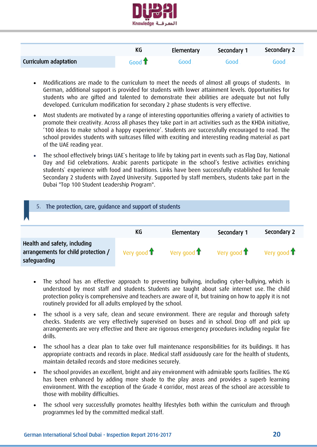

|                       | KG                      | Elementary | Secondary 1 | Secondary 2 |
|-----------------------|-------------------------|------------|-------------|-------------|
| Curriculum adaptation | Good $\mathbf{\hat{T}}$ | Good       | Good        | Good        |

- Modifications are made to the curriculum to meet the needs of almost all groups of students. In German, additional support is provided for students with lower attainment levels. Opportunities for students who are gifted and talented to demonstrate their abilities are adequate but not fully developed. Curriculum modification for secondary 2 phase students is very effective.
- Most students are motivated by a range of interesting opportunities offering a variety of activities to promote their creativity. Across all phases they take part in art activities such as the KHDA initiative, '100 ideas to make school a happy experience'. Students are successfully encouraged to read. The school provides students with suitcases filled with exciting and interesting reading material as part of the UAE reading year.
- The school effectively brings UAE`s heritage to life by taking part in events such as Flag Day, National Day and Eid celebrations. Arabic parents participate in the school's festive activities enriching students` experience with food and traditions. Links have been successfully established for female Secondary 2 students with Zayed University. Supported by staff members, students take part in the Dubai "Top 100 Student Leadership Program".

<span id="page-19-0"></span>

| 5. The protection, care, guidance and support of students                           |                         |                              |             |                              |
|-------------------------------------------------------------------------------------|-------------------------|------------------------------|-------------|------------------------------|
|                                                                                     | KG                      | Elementary                   | Secondary 1 | Secondary 2                  |
| Health and safety, including<br>arrangements for child protection /<br>safeguarding | Very good $\biguparrow$ | Very good $\mathbf{\hat{T}}$ | Very good 1 | Very good $\mathbf{\hat{T}}$ |

- The school has an effective approach to preventing bullying, including cyber-bullying, which is understood by most staff and students. Students are taught about safe internet use. The child protection policy is comprehensive and teachers are aware of it, but training on how to apply it is not routinely provided for all adults employed by the school.
- The school is a very safe, clean and secure environment. There are regular and thorough safety checks. Students are very effectively supervised on buses and in school. Drop off and pick up arrangements are very effective and there are rigorous emergency procedures including regular fire drills.
- The school has a clear plan to take over full maintenance responsibilities for its buildings. It has appropriate contracts and records in place. Medical staff assiduously care for the health of students, maintain detailed records and store medicines securely.
- The school provides an excellent, bright and airy environment with admirable sports facilities. The KG has been enhanced by adding more shade to the play areas and provides a superb learning environment. With the exception of the Grade 4 corridor, most areas of the school are accessible to those with mobility difficulties.
- The school very successfully promotes healthy lifestyles both within the curriculum and through programmes led by the committed medical staff.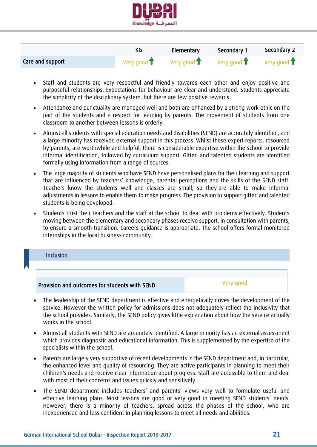

|                  |             | Elementary                   | Secondary 1                  | Secondary 2                  |
|------------------|-------------|------------------------------|------------------------------|------------------------------|
| Care and support | Very good 1 | Very good $\mathbf{\hat{T}}$ | Very good $\mathbf{\hat{T}}$ | Very good $\mathbf{\hat{T}}$ |

- Staff and students are very respectful and friendly towards each other and enjoy positive and purposeful relationships. Expectations for behaviour are clear and understood. Students appreciate the simplicity of the disciplinary system, but there are few positive rewards.
- Attendance and punctuality are managed well and both are enhanced by a strong work ethic on the part of the students and a respect for learning by parents. The movement of students from one classroom to another between lessons is orderly.
- Almost all students with special education needs and disabilities (SEND) are accurately identified, and a large minority has received external support in this process. Whilst these expert reports, resourced by parents, are worthwhile and helpful, there is considerable expertise within the school to provide informal identification, followed by curriculum support. Gifted and talented students are identified formally using information from a range of sources.
- The large majority of students who have SEND have personalised plans for their learning and support that are influenced by teachers' knowledge, parental perceptions and the skills of the SEND staff. Teachers know the students well and classes are small, so they are able to make informal adjustments in lessons to enable them to make progress. The provision to support gifted and talented students is being developed.
- Students trust their teachers and the staff at the school to deal with problems effectively. Students moving between the elementary and secondary phases receive support, in consultation with parents, to ensure a smooth transition. Careers guidance is appropriate. The school offers formal monitored internships in the local business community.

<span id="page-20-0"></span>

- The leadership of the SEND department is effective and energetically drives the development of the service. However the written policy for admissions does not adequately reflect the inclusivity that the school provides. Similarly, the SEND policy gives little explanation about how the service actually works in the school.
- Almost all students with SEND are accurately identified. A large minority has an external assessment which provides diagnostic and educational information. This is supplemented by the expertise of the specialists within the school.
- Parents are largely very supportive of recent developments in the SEND department and, in particular, the enhanced level and quality of resourcing. They are active participants in planning to meet their children's needs and receive clear information about progress. Staff are accessible to them and deal with most of their concerns and issues quickly and sensitively.
- The SEND department includes teachers' and parents' views very well to formulate useful and effective learning plans. Most lessons are good or very good in meeting SEND students' needs. However, there is a minority of teachers, spread across the phases of the school, who are inexperienced and less confident in planning lessons to meet all needs and abilities.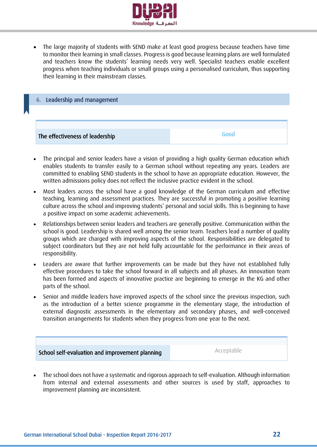

 The large majority of students with SEND make at least good progress because teachers have time to monitor their learning in small classes. Progress is good because learning plans are well formulated and teachers know the students' learning needs very well. Specialist teachers enable excellent progress when teaching individuals or small groups using a personalised curriculum, thus supporting their learning in their mainstream classes.

<span id="page-21-0"></span>

- The principal and senior leaders have a vision of providing a high quality German education which enables students to transfer easily to a German school without repeating any years. Leaders are committed to enabling SEND students in the school to have an appropriate education. However, the written admissions policy does not reflect the inclusive practice evident in the school.
- Most leaders across the school have a good knowledge of the German curriculum and effective teaching, learning and assessment practices. They are successful in promoting a positive learning culture across the school and improving students' personal and social skills. This is beginning to have a positive impact on some academic achievements.
- Relationships between senior leaders and teachers are generally positive. Communication within the school is good. Leadership is shared well among the senior team. Teachers lead a number of quality groups which are charged with improving aspects of the school. Responsibilities are delegated to subject coordinators but they are not held fully accountable for the performance in their areas of responsibility.
- Leaders are aware that further improvements can be made but they have not established fully effective procedures to take the school forward in all subjects and all phases. An innovation team has been formed and aspects of innovative practice are beginning to emerge in the KG and other parts of the school.
- Senior and middle leaders have improved aspects of the school since the previous inspection, such as the introduction of a better science programme in the elementary stage, the introduction of external diagnostic assessments in the elementary and secondary phases, and well-conceived transition arrangements for students when they progress from one year to the next.



 The school does not have a systematic and rigorous approach to self-evaluation. Although information from internal and external assessments and other sources is used by staff, approaches to improvement planning are inconsistent.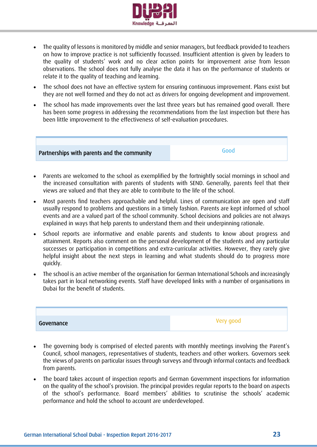

- The quality of lessons is monitored by middle and senior managers, but feedback provided to teachers on how to improve practice is not sufficiently focussed. Insufficient attention is given by leaders to the quality of students' work and no clear action points for improvement arise from lesson observations. The school does not fully analyse the data it has on the performance of students or relate it to the quality of teaching and learning.
- The school does not have an effective system for ensuring continuous improvement. Plans exist but they are not well formed and they do not act as drivers for ongoing development and improvement.
- The school has made improvements over the last three years but has remained good overall. There has been some progress in addressing the recommendations from the last inspection but there has been little improvement to the effectiveness of self-evaluation procedures.



- Parents are welcomed to the school as exemplified by the fortnightly social mornings in school and the increased consultation with parents of students with SEND. Generally, parents feel that their views are valued and that they are able to contribute to the life of the school.
- Most parents find teachers approachable and helpful. Lines of communication are open and staff usually respond to problems and questions in a timely fashion. Parents are kept informed of school events and are a valued part of the school community. School decisions and policies are not always explained in ways that help parents to understand them and their underpinning rationale.
- School reports are informative and enable parents and students to know about progress and attainment. Reports also comment on the personal development of the students and any particular successes or participation in competitions and extra-curricular activities. However, they rarely give helpful insight about the next steps in learning and what students should do to progress more quickly.
- The school is an active member of the organisation for German International Schools and increasingly takes part in local networking events. Staff have developed links with a number of organisations in Dubai for the benefit of students.

Governance Very good

- The governing body is comprised of elected parents with monthly meetings involving the Parent's Council, school managers, representatives of students, teachers and other workers. Governors seek the views of parents on particular issues through surveys and through informal contacts and feedback from parents.
- The board takes account of inspection reports and German Government inspections for information on the quality of the school's provision. The principal provides regular reports to the board on aspects of the school's performance. Board members' abilities to scrutinise the schools' academic performance and hold the school to account are underdeveloped.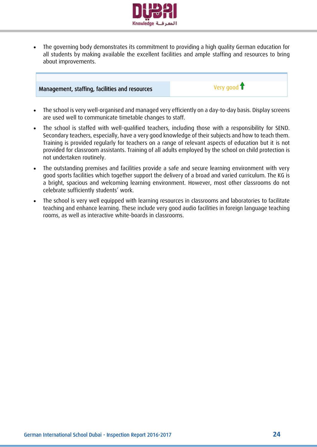

 The governing body demonstrates its commitment to providing a high quality German education for all students by making available the excellent facilities and ample staffing and resources to bring about improvements.

# Management, staffing, facilities and resources Very good the Very good t

- The school is very well-organised and managed very efficiently on a day-to-day basis. Display screens are used well to communicate timetable changes to staff.
- The school is staffed with well-qualified teachers, including those with a responsibility for SEND. Secondary teachers, especially, have a very good knowledge of their subjects and how to teach them. Training is provided regularly for teachers on a range of relevant aspects of education but it is not provided for classroom assistants. Training of all adults employed by the school on child protection is not undertaken routinely.
- The outstanding premises and facilities provide a safe and secure learning environment with very good sports facilities which together support the delivery of a broad and varied curriculum. The KG is a bright, spacious and welcoming learning environment. However, most other classrooms do not celebrate sufficiently students' work.
- The school is very well equipped with learning resources in classrooms and laboratories to facilitate teaching and enhance learning. These include very good audio facilities in foreign language teaching rooms, as well as interactive white-boards in classrooms.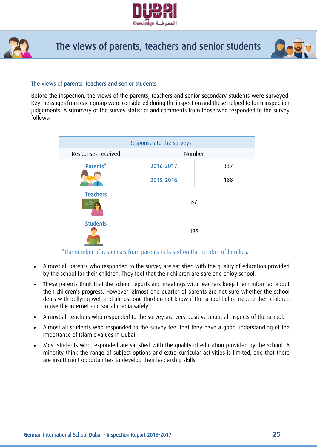



# The views of parents, teachers and senior students



#### The views of parents, teachers and senior students

Before the inspection, the views of the parents, teachers and senior secondary students were surveyed. Key messages from each group were considered during the inspection and these helped to form inspection judgements. A summary of the survey statistics and comments from those who responded to the survey follows:

| Responses to the surveys |           |     |  |  |  |
|--------------------------|-----------|-----|--|--|--|
| Responses received       | Number    |     |  |  |  |
| Parents*                 | 2016-2017 | 337 |  |  |  |
|                          | 2015-2016 | 188 |  |  |  |
| <b>Teachers</b>          | 57        |     |  |  |  |
| <b>Students</b>          | 135       |     |  |  |  |

\*The number of responses from parents is based on the number of families.

- Almost all parents who responded to the survey are satisfied with the quality of education provided by the school for their children. They feel that their children are safe and enjoy school.
- These parents think that the school reports and meetings with teachers keep them informed about their children's progress. However, almost one quarter of parents are not sure whether the school deals with bullying well and almost one third do not know if the school helps prepare their children to use the internet and social media safely.
- Almost all teachers who responded to the survey are very positive about all aspects of the school.
- Almost all students who responded to the survey feel that they have a good understanding of the importance of Islamic values in Dubai.
- Most students who responded are satisfied with the quality of education provided by the school. A minority think the range of subject options and extra-curricular activities is limited, and that there are insufficient opportunities to develop their leadership skills.